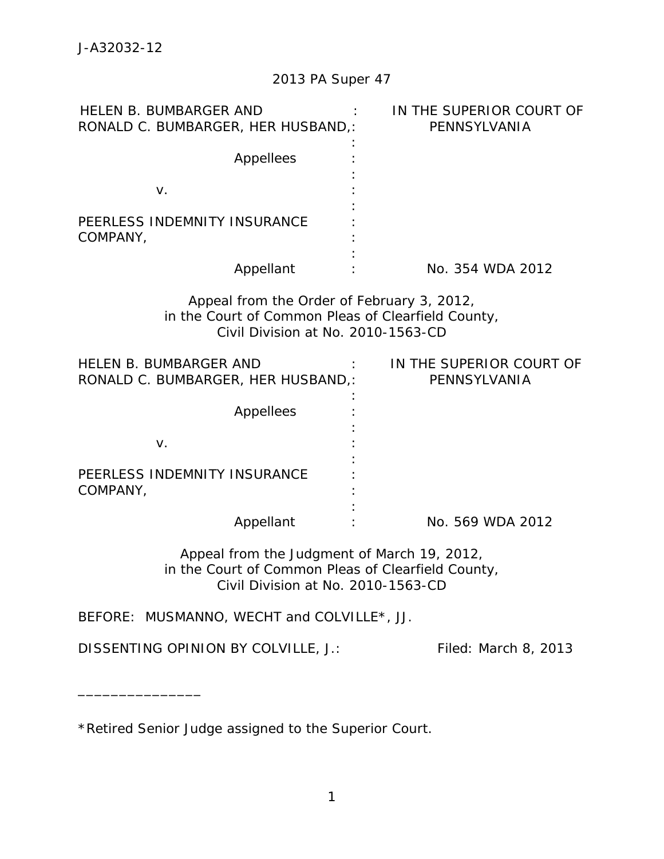| <b>HELEN B. BUMBARGER AND</b><br>RONALD C. BUMBARGER, HER HUSBAND,:                                                                     | IN THE SUPERIOR COURT OF<br>PENNSYLVANIA |
|-----------------------------------------------------------------------------------------------------------------------------------------|------------------------------------------|
| Appellees                                                                                                                               |                                          |
| $V_{\cdot}$                                                                                                                             |                                          |
| PEERLESS INDEMNITY INSURANCE<br>COMPANY,                                                                                                |                                          |
| Appellant                                                                                                                               | No. 354 WDA 2012                         |
| Appeal from the Order of February 3, 2012,<br>in the Court of Common Pleas of Clearfield County,<br>Civil Division at No. 2010-1563-CD  |                                          |
| HELEN B. BUMBARGER AND<br>RONALD C. BUMBARGER, HER HUSBAND,:                                                                            | IN THE SUPERIOR COURT OF<br>PENNSYLVANIA |
| Appellees                                                                                                                               |                                          |
| V.                                                                                                                                      |                                          |
| PEERLESS INDEMNITY INSURANCE<br>COMPANY,                                                                                                |                                          |
| Appellant                                                                                                                               | No. 569 WDA 2012                         |
| Appeal from the Judgment of March 19, 2012,<br>in the Court of Common Pleas of Clearfield County,<br>Civil Division at No. 2010-1563-CD |                                          |

BEFORE: MUSMANNO, WECHT and COLVILLE\*, JJ.

DISSENTING OPINION BY COLVILLE, J.: Filed: March 8, 2013

\_\_\_\_\_\_\_\_\_\_\_\_\_\_\_

\*Retired Senior Judge assigned to the Superior Court.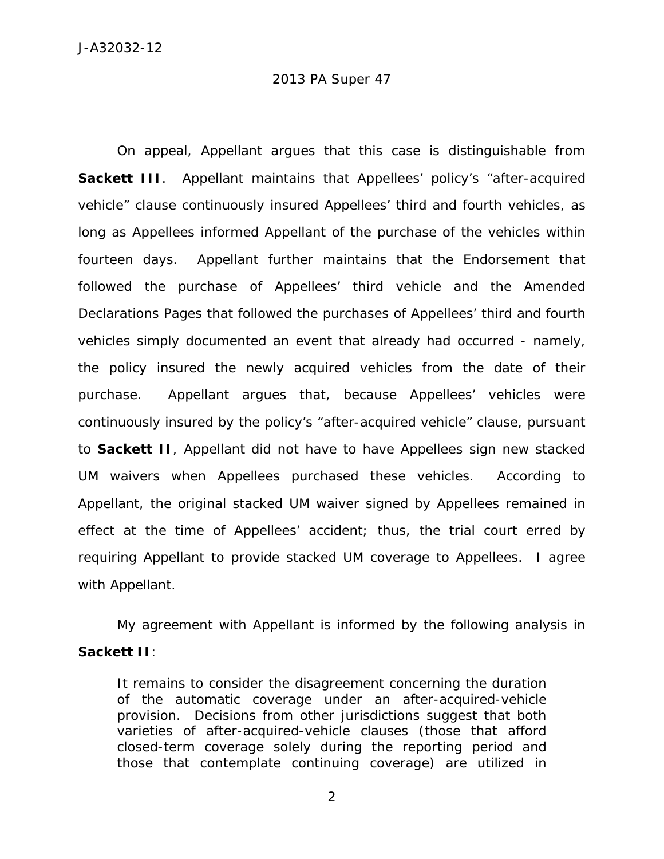On appeal, Appellant argues that this case is distinguishable from **Sackett III**. Appellant maintains that Appellees' policy's "after-acquired vehicle" clause continuously insured Appellees' third and fourth vehicles, as long as Appellees informed Appellant of the purchase of the vehicles within fourteen days. Appellant further maintains that the Endorsement that followed the purchase of Appellees' third vehicle and the Amended Declarations Pages that followed the purchases of Appellees' third and fourth vehicles simply documented an event that already had occurred - namely, the policy insured the newly acquired vehicles from the date of their purchase. Appellant argues that, because Appellees' vehicles were continuously insured by the policy's "after-acquired vehicle" clause, pursuant to *Sackett II*, Appellant did not have to have Appellees sign new stacked UM waivers when Appellees purchased these vehicles. According to Appellant, the original stacked UM waiver signed by Appellees remained in effect at the time of Appellees' accident; thus, the trial court erred by requiring Appellant to provide stacked UM coverage to Appellees. I agree with Appellant.

 My agreement with Appellant is informed by the following analysis in *Sackett II*:

It remains to consider the disagreement concerning the duration of the automatic coverage under an after-acquired-vehicle provision. Decisions from other jurisdictions suggest that both varieties of after-acquired-vehicle clauses (those that afford closed-term coverage solely during the reporting period and those that contemplate continuing coverage) are utilized in

2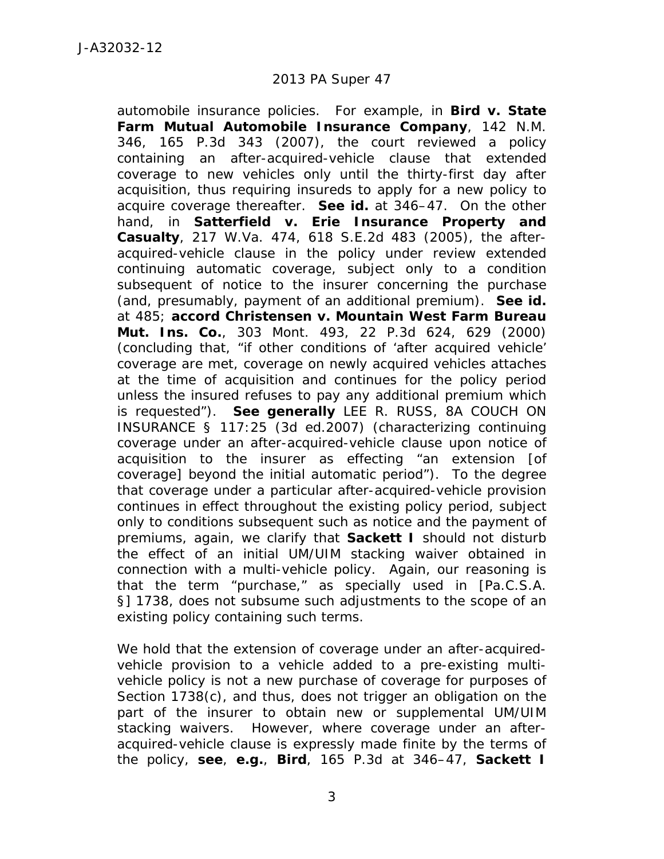automobile insurance policies. For example, in *Bird v. State Farm Mutual Automobile Insurance Company*, 142 N.M. 346, 165 P.3d 343 (2007), the court reviewed a policy containing an after-acquired-vehicle clause that extended coverage to new vehicles only until the thirty-first day after acquisition, thus requiring insureds to apply for a new policy to acquire coverage thereafter. *See id.* at 346–47. On the other hand, in *Satterfield v. Erie Insurance Property and Casualty*, 217 W.Va. 474, 618 S.E.2d 483 (2005), the afteracquired-vehicle clause in the policy under review extended continuing automatic coverage, subject only to a condition subsequent of notice to the insurer concerning the purchase (and, presumably, payment of an additional premium). *See id.* at 485; *accord Christensen v. Mountain West Farm Bureau Mut. Ins. Co.*, 303 Mont. 493, 22 P.3d 624, 629 (2000) (concluding that, "if other conditions of 'after acquired vehicle' coverage are met, coverage on newly acquired vehicles attaches at the time of acquisition and continues for the policy period unless the insured refuses to pay any additional premium which is requested"). *See generally* LEE R. RUSS, 8A COUCH ON INSURANCE § 117:25 (3d ed.2007) (characterizing continuing coverage under an after-acquired-vehicle clause upon notice of acquisition to the insurer as effecting "an extension [of coverage] beyond the initial automatic period"). To the degree that coverage under a particular after-acquired-vehicle provision continues in effect throughout the existing policy period, subject only to conditions subsequent such as notice and the payment of premiums, again, we clarify that *Sackett I* should not disturb the effect of an initial UM/UIM stacking waiver obtained in connection with a multi-vehicle policy. Again, our reasoning is that the term "purchase," as specially used in [Pa.C.S.A. §] 1738, does not subsume such adjustments to the scope of an existing policy containing such terms.

We hold that the extension of coverage under an after-acquiredvehicle provision to a vehicle added to a pre-existing multivehicle policy is not a new purchase of coverage for purposes of Section 1738(c), and thus, does not trigger an obligation on the part of the insurer to obtain new or supplemental UM/UIM stacking waivers. However, where coverage under an afteracquired-vehicle clause is expressly made finite by the terms of the policy, *see*, *e.g.*, *Bird*, 165 P.3d at 346–47, *Sackett I*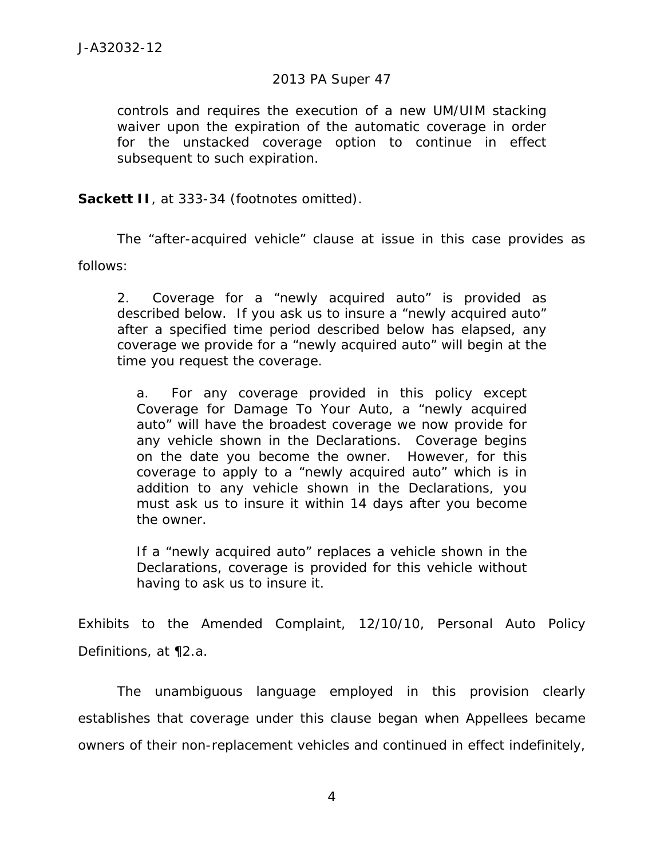controls and requires the execution of a new UM/UIM stacking waiver upon the expiration of the automatic coverage in order for the unstacked coverage option to continue in effect subsequent to such expiration.

**Sackett II**, at 333-34 (footnotes omitted).

 The "after-acquired vehicle" clause at issue in this case provides as follows:

2. Coverage for a "newly acquired auto" is provided as described below. If you ask us to insure a "newly acquired auto" after a specified time period described below has elapsed, any coverage we provide for a "newly acquired auto" will begin at the time you request the coverage.

a. For any coverage provided in this policy except Coverage for Damage To Your Auto, a "newly acquired auto" will have the broadest coverage we now provide for any vehicle shown in the Declarations. Coverage begins on the date you become the owner. However, for this coverage to apply to a "newly acquired auto" which is in addition to any vehicle shown in the Declarations, you must ask us to insure it within 14 days after you become the owner.

If a "newly acquired auto" replaces a vehicle shown in the Declarations, coverage is provided for this vehicle without having to ask us to insure it.

Exhibits to the Amended Complaint, 12/10/10, Personal Auto Policy Definitions, at ¶2.a.

 The unambiguous language employed in this provision clearly establishes that coverage under this clause began when Appellees became owners of their non-replacement vehicles and continued in effect indefinitely,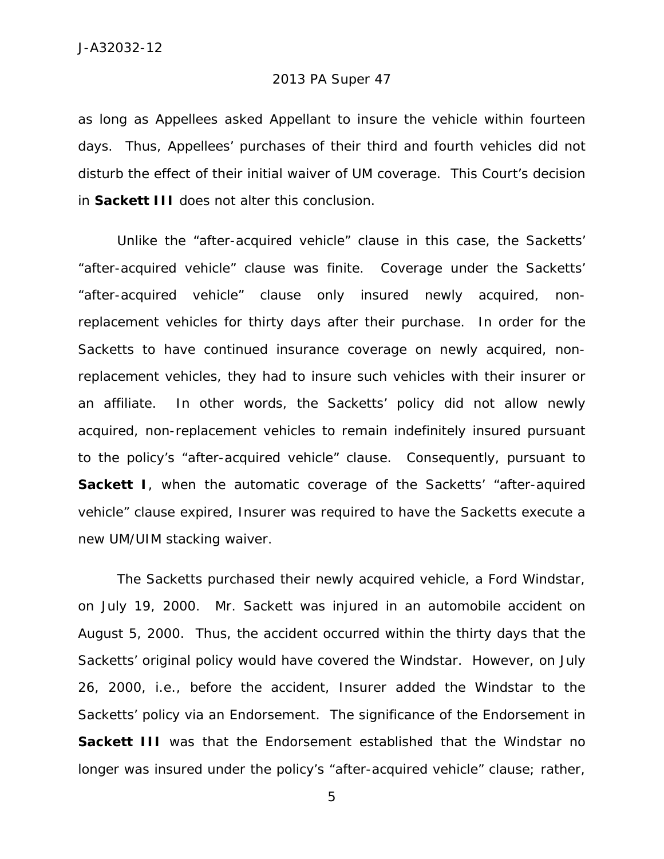as long as Appellees asked Appellant to insure the vehicle within fourteen days. Thus, Appellees' purchases of their third and fourth vehicles did not disturb the effect of their initial waiver of UM coverage. This Court's decision in *Sackett III* does not alter this conclusion.

 Unlike the "after-acquired vehicle" clause in this case, the Sacketts' "after-acquired vehicle" clause was finite. Coverage under the Sacketts' "after-acquired vehicle" clause only insured newly acquired, nonreplacement vehicles for thirty days after their purchase. In order for the Sacketts to have continued insurance coverage on newly acquired, nonreplacement vehicles, they had to insure such vehicles with their insurer or an affiliate. In other words, the Sacketts' policy did not allow newly acquired, non-replacement vehicles to remain indefinitely insured pursuant to the policy's "after-acquired vehicle" clause. Consequently, pursuant to **Sackett I**, when the automatic coverage of the Sacketts' "after-aquired vehicle" clause expired, Insurer was required to have the Sacketts execute a new UM/UIM stacking waiver.

 The Sacketts purchased their newly acquired vehicle, a Ford Windstar, on July 19, 2000. Mr. Sackett was injured in an automobile accident on August 5, 2000. Thus, the accident occurred within the thirty days that the Sacketts' original policy would have covered the Windstar. However, on July 26, 2000, *i.e.*, before the accident, Insurer added the Windstar to the Sacketts' policy *via* an Endorsement. The significance of the Endorsement in **Sackett III** was that the Endorsement established that the Windstar no longer was insured under the policy's "after-acquired vehicle" clause; rather,

5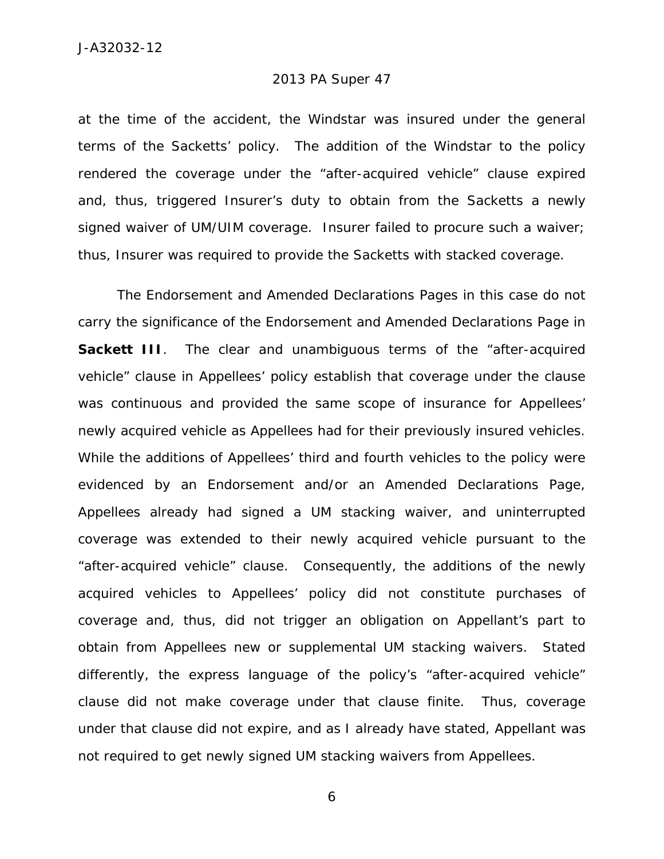at the time of the accident, the Windstar was insured under the general terms of the Sacketts' policy. The addition of the Windstar to the policy rendered the coverage under the "after-acquired vehicle" clause expired and, thus, triggered Insurer's duty to obtain from the Sacketts a newly signed waiver of UM/UIM coverage. Insurer failed to procure such a waiver; thus, Insurer was required to provide the Sacketts with stacked coverage.

 The Endorsement and Amended Declarations Pages in this case do not carry the significance of the Endorsement and Amended Declarations Page in **Sackett III**. The clear and unambiguous terms of the "after-acquired vehicle" clause in Appellees' policy establish that coverage under the clause was continuous and provided the same scope of insurance for Appellees' newly acquired vehicle as Appellees had for their previously insured vehicles. While the additions of Appellees' third and fourth vehicles to the policy were evidenced by an Endorsement and/or an Amended Declarations Page, Appellees already had signed a UM stacking waiver, and uninterrupted coverage was extended to their newly acquired vehicle pursuant to the "after-acquired vehicle" clause. Consequently, the additions of the newly acquired vehicles to Appellees' policy did not constitute purchases of coverage and, thus, did not trigger an obligation on Appellant's part to obtain from Appellees new or supplemental UM stacking waivers. Stated differently, the express language of the policy's "after-acquired vehicle" clause did not make coverage under that clause finite. Thus, coverage under that clause did not expire, and as I already have stated, Appellant was not required to get newly signed UM stacking waivers from Appellees.

6